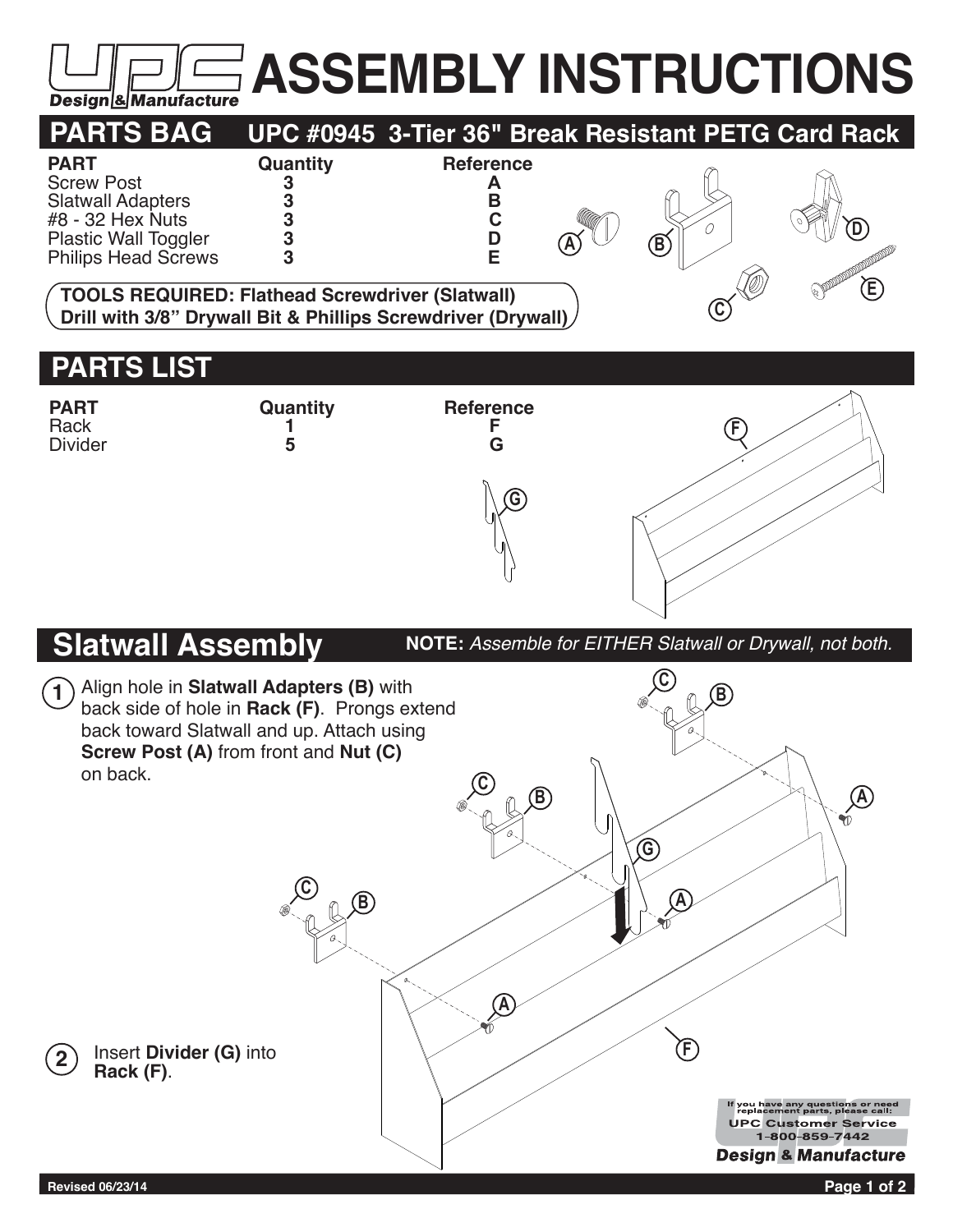## **ASSEMBLY INSTRUCTIONS Design & Manufacture**



## **PARTS LIST**



**NOTE:** *Assemble for EITHER Slatwall or Drywall, not both.*

## **Slatwall Assembly**

**C** Align hole in **Slatwall Adapters (B)** with **1 B** back side of hole in **Rack (F)**. Prongs extend back toward Slatwall and up. Attach using **Screw Post (A)** from front and **Nut (C)** on back. **C AB** Ŵ **G C B A A F** Insert **Divider (G)** into **2 Rack (F)**. If you have any questions or need<br>replacement parts, please call: **UPC Customer Service** 1-800-859-7442 **Design & Manufacture Revised 06/23/14 Page 1 of 2**